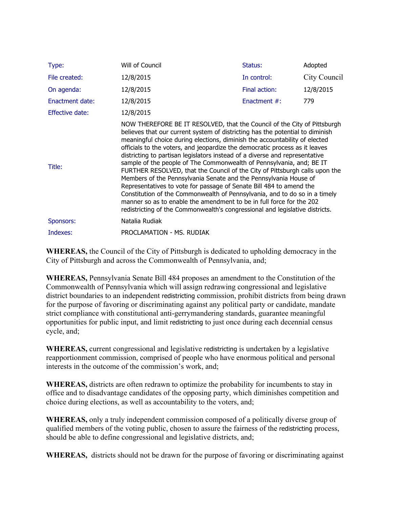| Type:           | Will of Council                                                                                                                                                                                                                                                                                                                                                                                                                                                                                                                                                                                                                                                                                                                                                                                                                                                                                                                               | Status:         | Adopted      |
|-----------------|-----------------------------------------------------------------------------------------------------------------------------------------------------------------------------------------------------------------------------------------------------------------------------------------------------------------------------------------------------------------------------------------------------------------------------------------------------------------------------------------------------------------------------------------------------------------------------------------------------------------------------------------------------------------------------------------------------------------------------------------------------------------------------------------------------------------------------------------------------------------------------------------------------------------------------------------------|-----------------|--------------|
| File created:   | 12/8/2015                                                                                                                                                                                                                                                                                                                                                                                                                                                                                                                                                                                                                                                                                                                                                                                                                                                                                                                                     | In control:     | City Council |
| On agenda:      | 12/8/2015                                                                                                                                                                                                                                                                                                                                                                                                                                                                                                                                                                                                                                                                                                                                                                                                                                                                                                                                     | Final action:   | 12/8/2015    |
| Enactment date: | 12/8/2015                                                                                                                                                                                                                                                                                                                                                                                                                                                                                                                                                                                                                                                                                                                                                                                                                                                                                                                                     | Enactment $#$ : | 779          |
| Effective date: | 12/8/2015                                                                                                                                                                                                                                                                                                                                                                                                                                                                                                                                                                                                                                                                                                                                                                                                                                                                                                                                     |                 |              |
| Title:          | NOW THEREFORE BE IT RESOLVED, that the Council of the City of Pittsburgh<br>believes that our current system of districting has the potential to diminish<br>meaningful choice during elections, diminish the accountability of elected<br>officials to the voters, and jeopardize the democratic process as it leaves<br>districting to partisan legislators instead of a diverse and representative<br>sample of the people of The Commonwealth of Pennsylvania, and; BE IT<br>FURTHER RESOLVED, that the Council of the City of Pittsburgh calls upon the<br>Members of the Pennsylvania Senate and the Pennsylvania House of<br>Representatives to vote for passage of Senate Bill 484 to amend the<br>Constitution of the Commonwealth of Pennsylvania, and to do so in a timely<br>manner so as to enable the amendment to be in full force for the 202<br>redistricting of the Commonwealth's congressional and legislative districts. |                 |              |
| Sponsors:       | Natalia Rudiak                                                                                                                                                                                                                                                                                                                                                                                                                                                                                                                                                                                                                                                                                                                                                                                                                                                                                                                                |                 |              |
| Indexes:        | PROCLAMATION - MS. RUDIAK                                                                                                                                                                                                                                                                                                                                                                                                                                                                                                                                                                                                                                                                                                                                                                                                                                                                                                                     |                 |              |

**WHEREAS,** the Council of the City of Pittsburgh is dedicated to upholding democracy in the City of Pittsburgh and across the Commonwealth of Pennsylvania, and;

**WHEREAS,** Pennsylvania Senate Bill 484 proposes an amendment to the Constitution of the Commonwealth of Pennsylvania which will assign redrawing congressional and legislative district boundaries to an independent redistricting commission, prohibit districts from being drawn for the purpose of favoring or discriminating against any political party or candidate, mandate strict compliance with constitutional anti-gerrymandering standards, guarantee meaningful opportunities for public input, and limit redistricting to just once during each decennial census cycle, and;

**WHEREAS,** current congressional and legislative redistricting is undertaken by a legislative reapportionment commission, comprised of people who have enormous political and personal interests in the outcome of the commission's work, and;

**WHEREAS,** districts are often redrawn to optimize the probability for incumbents to stay in office and to disadvantage candidates of the opposing party, which diminishes competition and choice during elections, as well as accountability to the voters, and;

**WHEREAS,** only a truly independent commission composed of a politically diverse group of qualified members of the voting public, chosen to assure the fairness of the redistricting process, should be able to define congressional and legislative districts, and;

**WHEREAS,** districts should not be drawn for the purpose of favoring or discriminating against